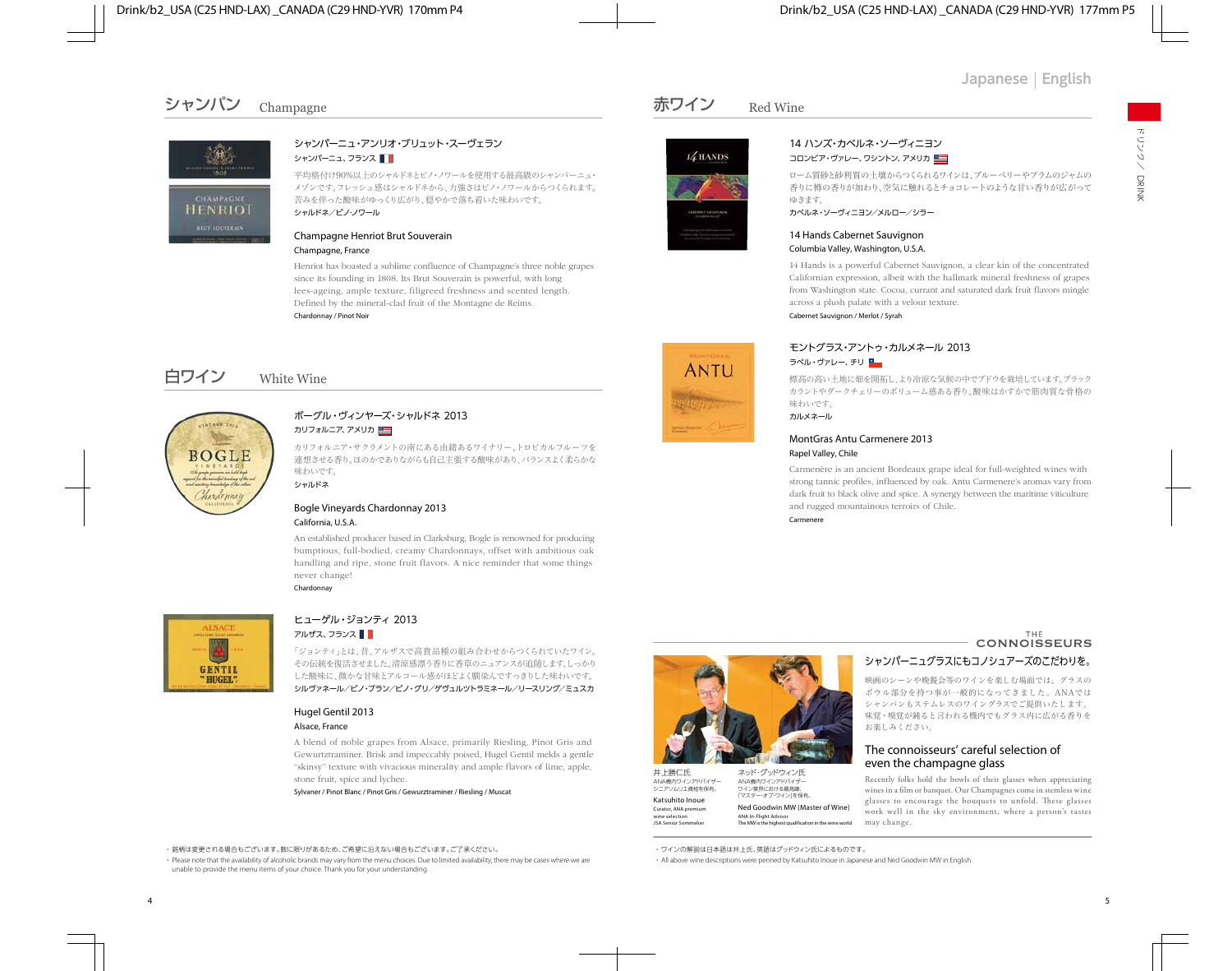# シャンパン Champagne



### シャンパーニュ・アンリオ・ブリュット・スーヴェラン シャンパーニュ、フランス ■■

平均格付け90%以上のシャルドネとピノ・ノワールを使用する最高級のシャンパーニュ・ メゾンです。フレッシュ感はシャルドネから、力強さはピノ・ノワールからつくられます。 苦みを伴った酸味がゆっくり広がり、穏やかで落ち着いた味わいです。 シャルドネ/ピノ・ノワール

#### Champagne Henriot Brut Souverain Champagne, France

Henriot has boasted a sublime confluence of Champagne's three noble grapes since its founding in 1808. Its Brut Souverain is powerful, with long lees-ageing, ample texture, filigreed freshness and scented length. Defined by the mineral-clad fruit of the Montagne de Reims. Chardonnay / Pinot Noir

# 白ワイン White Wine



### ボーグル・ヴィンヤーズ・シャルドネ 2013 カリフォルニア、アメリカ

カリフォルニア・サクラメントの南にある由緒あるワイナリー。トロピカルフルーツを 連想させる香り。ほのかでありながらも自己主張する酸味があり、バランスよく柔らかな 味わいです。 シャルドネ

#### Bogle Vineyards Chardonnay 2013 California, U.S.A.

An established producer based in Clarksburg, Bogle is renowned for producing bumptious, full-bodied, creamy Chardonnays, offset with ambitious oak handling and ripe, stone fruit flavors. A nice reminder that some things never change! Chardonnay



### ヒューゲル・ジョンティ 2013 アルザス、フランス ■■

「ジョンティ」とは、昔、アルザスで高貴品種の組み合わせからつくられていたワイン。 その伝統を復活させました。清涼感漂う香りに香草のニュアンスが追随します。しっかり した酸味に、微かな甘味とアルコール感がほどよく馴染んですっきりした味わいです。 シルヴァネール/ピノ・ブラン/ピノ・グリ/ゲヴュルツトラミネール/リースリング/ミュスカ

### Hugel Gentil 2013 Alsace, France

A blend of noble grapes from Alsace, primarily Riesling, Pinot Gris and Gewurtztraminer. Brisk and impeccably poised, Hugel Gentil melds a gentle "skinsy" texture with vivacious minerality and ample flavors of lime, apple, stone fruit, spice and lychee.

Sylvaner / Pinot Blanc / Pinot Gris / Gewurztraminer / Riesling / Muscat



 ・ Please note that the availability of alcoholic brands may vary from the menu choices. Due to limited availability, there may be cases where we are unable to provide the menu items of your choice. Thank you for your understanding.

## 赤ワイン Red Wine



**ANTU** 



#### 14 ハンズ・カベルネ・ソーヴィニヨン コロンビア・ヴァレー、ワシントン、アメリカ

ローム質砂と砂利質の土壌からつくられるワインは、ブルーベリーやプラムのジャムの 香りに樽の香りが加わり、空気に触れるとチョコレートのような甘い香りが広がって ゆきます。

カベルネ・ソーヴィニヨン/メルロー/シラー

#### 14 Hands Cabernet Sauvignon Columbia Valley, Washington, U.S.A.

14 Hands is a powerful Cabernet Sauvignon, a clear kin of the concentrated Californian expression, albeit with the hallmark mineral freshness of grapes from Washington state. Cocoa, currant and saturated dark fruit flavors mingle across a plush palate with a velour texture.

Cabernet Sauvignon / Merlot / Syrah

### モントグラス・アントゥ・カルメネール 2013 ラペル・ヴァレー、チリ

標高の高い土地に畑を開拓し、より冷涼な気候の中でブドウを栽培しています。ブラック カラントやダークチェリーのボリューム感ある香り。酸味はかすかで筋肉質な骨格の 味わいです。

カルメネール

#### MontGras Antu Carmenere 2013 Rapel Valley, Chile

Carmenère is an ancient Bordeaux grape ideal for full-weighted wines with strong tannic profiles, influenced by oak. Antu Carmenere's aromas vary from dark fruit to black olive and spice. A synergy between the maritime viticulture and rugged mountainous terroirs of Chile.

Carmenere



## シャンパーニュグラスにもコノシュアーズのこだわりを。

映画のシーンや晩餐会等のワインを楽しむ場面では、グラスの ボウル部分を持つ事が一般的になってきました。ANAでは シャンパンもステムレスのワイングラスでご提供いたします。 味覚・嗅覚が鈍ると言われる機内でもグラス内に広がる香りを お楽しみください。

## The connoisseurs' careful selection of **even the champagne glass**<br>ネッド・グッドウィン氏

Recently folks hold the bowls of their glasses when appreciating wines in a lm or banquet. Our Champagnes come in stemless wine glasses to encourage the bouquets to unfold. These glasses work well in the sky environment, where a person's tastes may change.

・ ワインの解説は日本語は井上氏、英語はグッドウィン氏によるものです。

・ All above wine descriptions were penned by Katsuhito Inoue in Japanese and Ned Goodwin MW in English.



井上勝仁氏

ANA機内ワインアドバイザー シニアソムリエ資格を保有。 Katsuhito Inoue Curator, ANA premium wine selection JSA Senior Sommelier

ANA機内ワインアドバイザー

ワイン業界における最高峰、 「マスター・オブ・ワイン」を保有。 Ned Goodwin MW (Master of Wine) ANA In-Flight Advisor The MW is the highest qualification in the wine world